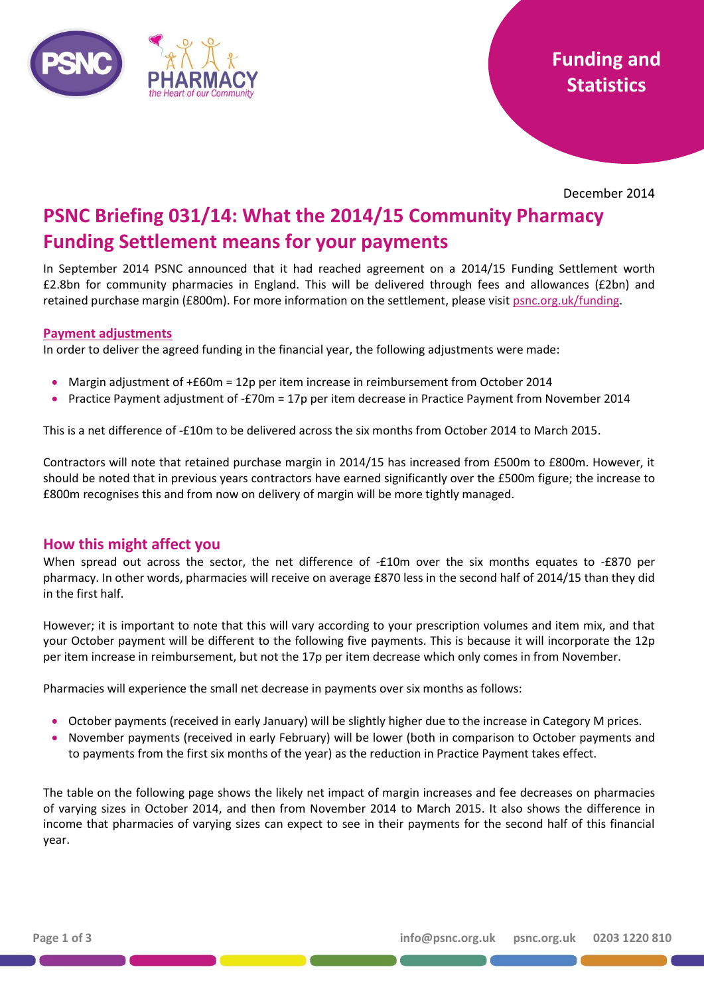

December 2014

# **PSNC Briefing 031/14: What the 2014/15 Community Pharmacy Funding Settlement means for your payments**

In September 2014 PSNC announced that it had reached agreement on a 2014/15 Funding Settlement worth £2.8bn for community pharmacies in England. This will be delivered through fees and allowances (£2bn) and retained purchase margin (£800m). For more information on the settlement, please visi[t psnc.org.uk/funding.](http://psnc.org.uk/funding-and-statistics/current-funding-settlement/)

#### **Payment adjustments**

In order to deliver the agreed funding in the financial year, the following adjustments were made:

- Margin adjustment of +£60m = 12p per item increase in reimbursement from October 2014
- Practice Payment adjustment of -£70m = 17p per item decrease in Practice Payment from November 2014

This is a net difference of -£10m to be delivered across the six months from October 2014 to March 2015.

Contractors will note that retained purchase margin in 2014/15 has increased from £500m to £800m. However, it should be noted that in previous years contractors have earned significantly over the £500m figure; the increase to £800m recognises this and from now on delivery of margin will be more tightly managed.

### **How this might affect you**

When spread out across the sector, the net difference of -£10m over the six months equates to -£870 per pharmacy. In other words, pharmacies will receive on average £870 less in the second half of 2014/15 than they did in the first half.

However; it is important to note that this will vary according to your prescription volumes and item mix, and that your October payment will be different to the following five payments. This is because it will incorporate the 12p per item increase in reimbursement, but not the 17p per item decrease which only comes in from November.

Pharmacies will experience the small net decrease in payments over six months as follows:

- October payments (received in early January) will be slightly higher due to the increase in Category M prices.
- November payments (received in early February) will be lower (both in comparison to October payments and to payments from the first six months of the year) as the reduction in Practice Payment takes effect.

The table on the following page shows the likely net impact of margin increases and fee decreases on pharmacies of varying sizes in October 2014, and then from November 2014 to March 2015. It also shows the difference in income that pharmacies of varying sizes can expect to see in their payments for the second half of this financial year.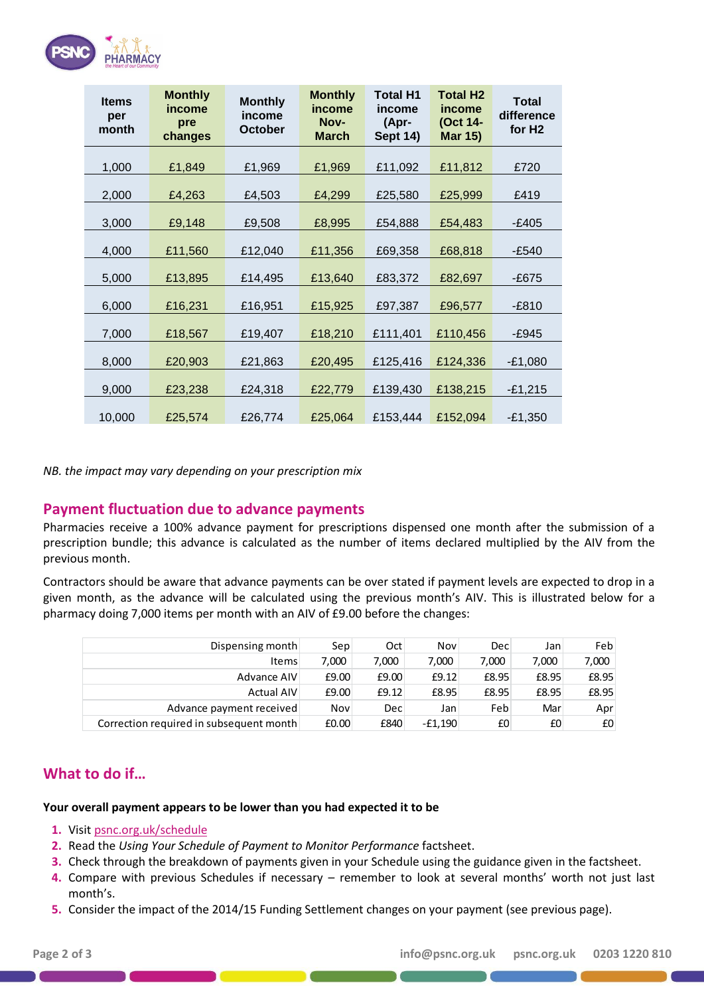

| <b>Items</b><br>per<br>month | <b>Monthly</b><br>income<br>pre<br>changes | <b>Monthly</b><br>income<br><b>October</b> | <b>Monthly</b><br>income<br>Nov-<br><b>March</b> | Total H1<br>income<br>(Apr-<br><b>Sept 14)</b> | <b>Total H2</b><br>income<br>(Oct 14-<br><b>Mar 15)</b> | <b>Total</b><br>difference<br>for H <sub>2</sub> |
|------------------------------|--------------------------------------------|--------------------------------------------|--------------------------------------------------|------------------------------------------------|---------------------------------------------------------|--------------------------------------------------|
| 1,000                        | £1,849                                     | £1,969                                     | £1,969                                           | £11,092                                        | £11,812                                                 | £720                                             |
| 2,000                        | £4,263                                     | £4,503                                     | £4,299                                           | £25,580                                        | £25,999                                                 | £419                                             |
| 3,000                        | £9,148                                     | £9,508                                     | £8,995                                           | £54,888                                        | £54,483                                                 | -£405                                            |
| 4,000                        | £11,560                                    | £12,040                                    | £11,356                                          | £69,358                                        | £68,818                                                 | -£540                                            |
| 5,000                        | £13,895                                    | £14,495                                    | £13,640                                          | £83,372                                        | £82,697                                                 | -£675                                            |
| 6,000                        | £16,231                                    | £16,951                                    | £15,925                                          | £97,387                                        | £96,577                                                 | $-E810$                                          |
| 7,000                        | £18,567                                    | £19,407                                    | £18,210                                          | £111,401                                       | £110,456                                                | -£945                                            |
| 8,000                        | £20,903                                    | £21,863                                    | £20,495                                          | £125,416                                       | £124,336                                                | $-£1,080$                                        |
| 9,000                        | £23,238                                    | £24,318                                    | £22,779                                          | £139,430                                       | £138,215                                                | $-£1,215$                                        |
| 10,000                       | £25,574                                    | £26,774                                    | £25,064                                          | £153,444                                       | £152,094                                                | $-£1,350$                                        |

*NB. the impact may vary depending on your prescription mix*

## **Payment fluctuation due to advance payments**

Pharmacies receive a 100% advance payment for prescriptions dispensed one month after the submission of a prescription bundle; this advance is calculated as the number of items declared multiplied by the AIV from the previous month.

Contractors should be aware that advance payments can be over stated if payment levels are expected to drop in a given month, as the advance will be calculated using the previous month's AIV. This is illustrated below for a pharmacy doing 7,000 items per month with an AIV of £9.00 before the changes:

| Dispensing month                        | Sep   | Oct        | Nov       | Dec   | Jan   | Feb   |
|-----------------------------------------|-------|------------|-----------|-------|-------|-------|
| <b>Items</b>                            | 7,000 | 7,000      | 7,000     | 7,000 | 7,000 | 7,000 |
| Advance AIV                             | £9.00 | £9.00      | E9.12     | £8.95 | £8.95 | £8.95 |
| <b>Actual AIV</b>                       | £9.00 | £9.12      | £8.95     | £8.95 | £8.95 | £8.95 |
| Advance payment received                | Nov   | <b>Dec</b> | Jan       | Feb   | Mar   | Apr   |
| Correction required in subsequent month | £0.00 | £840       | $-£1.190$ | £0    | £0    | £0    |

# **What to do if…**

### **Your overall payment appears to be lower than you had expected it to be**

- **1.** Visi[t psnc.org.uk/schedule](http://psnc.org.uk/schedule)
- **2.** Read the *Using Your Schedule of Payment to Monitor Performance* factsheet.
- **3.** Check through the breakdown of payments given in your Schedule using the guidance given in the factsheet.
- **4.** Compare with previous Schedules if necessary remember to look at several months' worth not just last month's.
- **5.** Consider the impact of the 2014/15 Funding Settlement changes on your payment (see previous page).